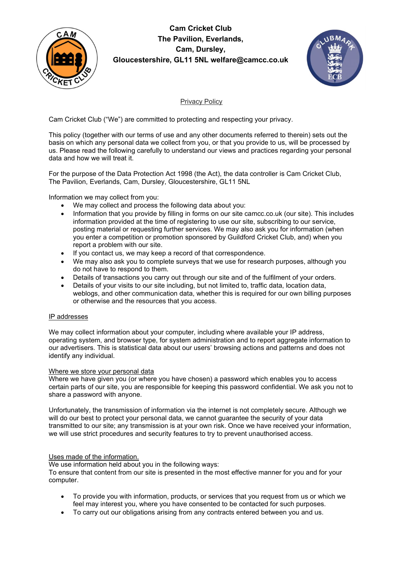

## Cam Cricket Club The Pavilion, Everlands, Cam, Dursley, Gloucestershire, GL11 5NL welfare@camcc.co.uk



### Privacy Policy

Cam Cricket Club ("We") are committed to protecting and respecting your privacy.

This policy (together with our terms of use and any other documents referred to therein) sets out the basis on which any personal data we collect from you, or that you provide to us, will be processed by us. Please read the following carefully to understand our views and practices regarding your personal data and how we will treat it.

For the purpose of the Data Protection Act 1998 (the Act), the data controller is Cam Cricket Club, The Pavilion, Everlands, Cam, Dursley, Gloucestershire, GL11 5NL

Information we may collect from you:

- We may collect and process the following data about you:
- Information that you provide by filling in forms on our site camcc.co.uk (our site). This includes information provided at the time of registering to use our site, subscribing to our service, posting material or requesting further services. We may also ask you for information (when you enter a competition or promotion sponsored by Guildford Cricket Club, and) when you report a problem with our site.
- If you contact us, we may keep a record of that correspondence.
- We may also ask you to complete surveys that we use for research purposes, although you do not have to respond to them.
- Details of transactions you carry out through our site and of the fulfilment of your orders.
- Details of your visits to our site including, but not limited to, traffic data, location data, weblogs, and other communication data, whether this is required for our own billing purposes or otherwise and the resources that you access.

#### IP addresses

We may collect information about your computer, including where available your IP address, operating system, and browser type, for system administration and to report aggregate information to our advertisers. This is statistical data about our users' browsing actions and patterns and does not identify any individual.

#### Where we store your personal data

Where we have given you (or where you have chosen) a password which enables you to access certain parts of our site, you are responsible for keeping this password confidential. We ask you not to share a password with anyone.

Unfortunately, the transmission of information via the internet is not completely secure. Although we will do our best to protect your personal data, we cannot guarantee the security of your data transmitted to our site; any transmission is at your own risk. Once we have received your information, we will use strict procedures and security features to try to prevent unauthorised access.

#### Uses made of the information.

We use information held about you in the following ways: To ensure that content from our site is presented in the most effective manner for you and for your computer.

- To provide you with information, products, or services that you request from us or which we feel may interest you, where you have consented to be contacted for such purposes.
- To carry out our obligations arising from any contracts entered between you and us.